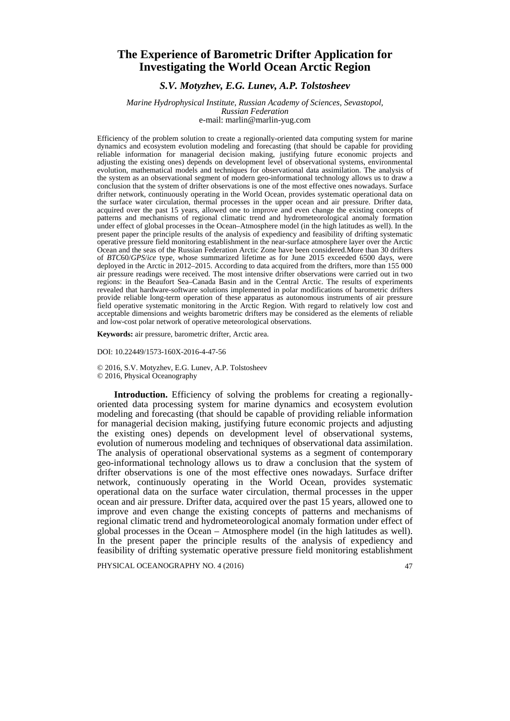## **The Experience of Barometric Drifter Application for Investigating the World Ocean Arctic Region**

### *S.V. Motyzhev, E.G. Lunev, A.P. Tolstosheev*

#### *Marine Hydrophysical Institute, Russian Academy of Sciences, Sevastopol, Russian Federation* e-mail: [marlin@marlin-yug.com](mailto:marlin@marlin-yug.com)

Efficiency of the problem solution to create a regionally-oriented data computing system for marine dynamics and ecosystem evolution modeling and forecasting (that should be capable for providing reliable information for managerial decision making, justifying future economic projects and adjusting the existing ones) depends on development level of observational systems, environmental evolution, mathematical models and techniques for observational data assimilation. The analysis of the system as an observational segment of modern geo-informational technology allows us to draw a conclusion that the system of drifter observations is one of the most effective ones nowadays. Surface drifter network, continuously operating in the World Ocean, provides systematic operational data on the surface water circulation, thermal processes in the upper ocean and air pressure. Drifter data, acquired over the past 15 years, allowed one to improve and even change the existing concepts of patterns and mechanisms of regional climatic trend and hydrometeorological anomaly formation under effect of global processes in the Ocean–Atmosphere model (in the high latitudes as well). In the present paper the principle results of the analysis of expediency and feasibility of drifting systematic operative pressure field monitoring establishment in the near-surface atmosphere layer over the Arctic Ocean and the seas of the Russian Federation Arctic Zone have been considered.More than 30 drifters of *BTC*60/*GPS*/*ice* type, whose summarized lifetime as for June 2015 exceeded 6500 days, were deployed in the Arctic in 2012–2015. According to data acquired from the drifters, more than 155 000 air pressure readings were received. The most intensive drifter observations were carried out in two regions: in the Beaufort Sea–Canada Basin and in the Central Arctic. The results of experiments revealed that hardware-software solutions implemented in polar modifications of barometric drifters provide reliable long-term operation of these apparatus as autonomous instruments of air pressure field operative systematic monitoring in the Arctic Region. With regard to relatively low cost and acceptable dimensions and weights barometric drifters may be considered as the elements of reliable and low-cost polar network of operative meteorological observations.

**Keywords:** air pressure, barometric drifter, Arctic area.

DOI: 10.22449/1573-160X-2016-4-47-56

© 2016, S.V. Motyzhev, E.G. Lunev, A.P. Tolstosheev © 2016, Physical Oceanography

**Introduction.** Efficiency of solving the problems for creating a regionallyoriented data processing system for marine dynamics and ecosystem evolution modeling and forecasting (that should be capable of providing reliable information for managerial decision making, justifying future economic projects and adjusting the existing ones) depends on development level of observational systems, evolution of numerous modeling and techniques of observational data assimilation. The analysis of operational observational systems as a segment of contemporary geo-informational technology allows us to draw a conclusion that the system of drifter observations is one of the most effective ones nowadays. Surface drifter network, continuously operating in the World Ocean, provides systematic operational data on the surface water circulation, thermal processes in the upper ocean and air pressure. Drifter data, acquired over the past 15 years, allowed one to improve and even change the existing concepts of patterns and mechanisms of regional climatic trend and hydrometeorological anomaly formation under effect of global processes in the Ocean – Atmosphere model (in the high latitudes as well). In the present paper the principle results of the analysis of expediency and feasibility of drifting systematic operative pressure field monitoring establishment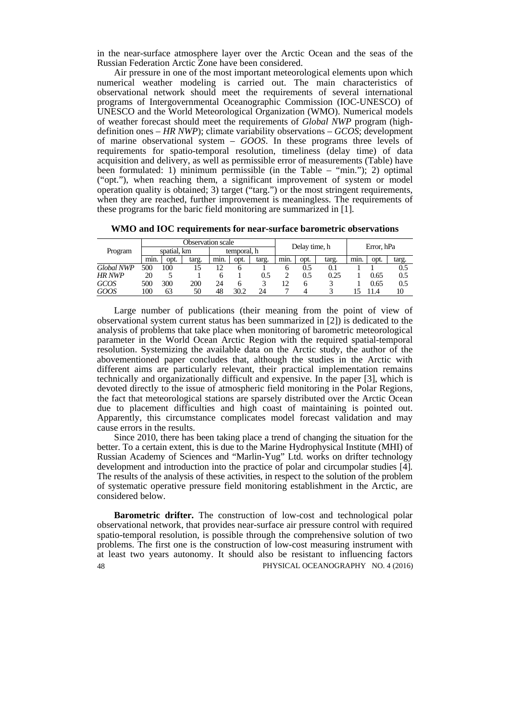in the near-surface atmosphere layer over the Arctic Ocean and the seas of the Russian Federation Arctic Zone have been considered.

Air pressure in one of the most important meteorological elements upon which numerical weather modeling is carried out. The main characteristics of observational network should meet the requirements of several international programs of Intergovernmental Oceanographic Commission (IOC-UNESCO) of UNESCO and the World Meteorological Organization (WMO). Numerical models of weather forecast should meet the requirements of *Global NWP* program (highdefinition ones – *HR NWP*); climate variability observations – *GCOS*; development of marine observational system – *GOOS*. In these programs three levels of requirements for spatio-temporal resolution, timeliness (delay time) of data acquisition and delivery, as well as permissible error of measurements (Table) have been formulated: 1) minimum permissible (in the Table – "min."); 2) optimal ("opt."), when reaching them, a significant improvement of system or model operation quality is obtained; 3) target ("targ.") or the most stringent requirements, when they are reached, further improvement is meaningless. The requirements of these programs for the baric field monitoring are summarized in [1].

**WMO and IOC requirements for near-surface barometric observations**

| Program           | Observation scale |      |       |             |              |       | Delay time, h |      |       | Error, hPa |      |       |
|-------------------|-------------------|------|-------|-------------|--------------|-------|---------------|------|-------|------------|------|-------|
|                   | spatial, km       |      |       | temporal, h |              |       |               |      |       |            |      |       |
|                   | min.              | opt. | targ. | min.        | opt.         | targ. | min.          | opt. | targ. | min.       | opt. | targ. |
| <b>Global NWP</b> | 500               | 100  | l5    |             |              |       |               | 0.5  |       |            |      | 0.5   |
| <b>HR NWP</b>     | 20                |      |       |             |              | 0.5   |               | 0.5  | 0.25  |            | 0.65 | 0.5   |
| <b>GCOS</b>       | 500               | 300  | 200   | 24          | <sub>6</sub> |       | 12            |      |       |            | 0.65 | 0.5   |
| GOOS              | 100               | 63   | 50    | 48          | 30.2         | 24    |               |      |       |            | 1.4  | 10    |

Large number of publications (their meaning from the point of view of observational system current status has been summarized in [2]) is dedicated to the analysis of problems that take place when monitoring of barometric meteorological parameter in the World Ocean Arctic Region with the required spatial-temporal resolution. Systemizing the available data on the Arctic study, the author of the abovementioned paper concludes that, although the studies in the Arctic with different aims are particularly relevant, their practical implementation remains technically and organizationally difficult and expensive. In the paper [3], which is devoted directly to the issue of atmospheric field monitoring in the Polar Regions, the fact that meteorological stations are sparsely distributed over the Arctic Ocean due to placement difficulties and high coast of maintaining is pointed out. Apparently, this circumstance complicates model forecast validation and may cause errors in the results.

Since 2010, there has been taking place a trend of changing the situation for the better. To a certain extent, this is due to the Marine Hydrophysical Institute (MHI) of Russian Academy of Sciences and "Marlin-Yug" Ltd. works on drifter technology development and introduction into the practice of polar and circumpolar studies [4]. The results of the analysis of these activities, in respect to the solution of the problem of systematic operative pressure field monitoring establishment in the Arctic, are considered below.

48 PHYSICAL OCEANOGRAPHY NO. 4 (2016) **Barometric drifter.** The construction of low-cost and technological polar observational network, that provides near-surface air pressure control with required spatio-temporal resolution, is possible through the comprehensive solution of two problems. The first one is the construction of low-cost measuring instrument with at least two years autonomy. It should also be resistant to influencing factors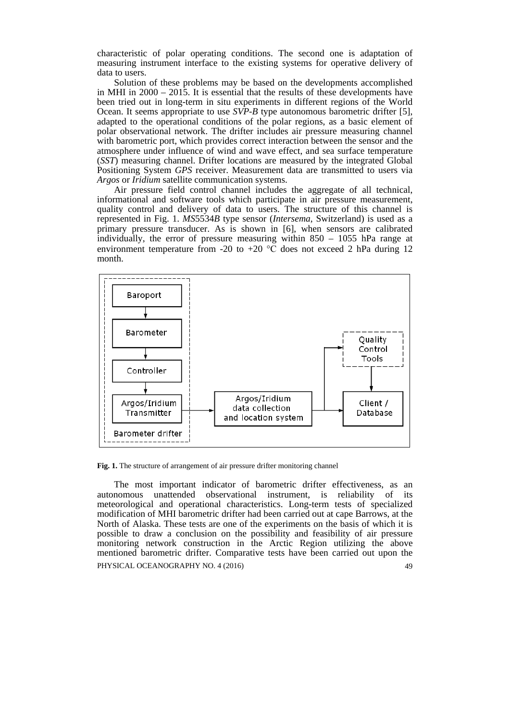characteristic of polar operating conditions. The second one is adaptation of measuring instrument interface to the existing systems for operative delivery of data to users.

Solution of these problems may be based on the developments accomplished in MHI in 2000 – 2015. It is essential that the results of these developments have been tried out in long-term in situ experiments in different regions of the World Ocean. It seems appropriate to use *SVP*-*B* type autonomous barometric drifter [5], adapted to the operational conditions of the polar regions, as a basic element of polar observational network. The drifter includes air pressure measuring channel with barometric port, which provides correct interaction between the sensor and the atmosphere under influence of wind and wave effect, and sea surface temperature (*SST*) measuring channel. Drifter locations are measured by the integrated Global Positioning System *GPS* receiver. Measurement data are transmitted to users via *Argos* or *Iridium* satellite communication systems.

Air pressure field control channel includes the aggregate of all technical, informational and software tools which participate in air pressure measurement, quality control and delivery of data to users. The structure of this channel is represented in Fig. 1. *MS*5534*B* type sensor (*Intersema*, Switzerland) is used as a primary pressure transducer. As is shown in [6], when sensors are calibrated individually, the error of pressure measuring within 850 – 1055 hPa range at environment temperature from -20 to +20  $\degree$ C does not exceed 2 hPa during 12 month.



Fig. 1. The structure of arrangement of air pressure drifter monitoring channel

The most important indicator of barometric drifter effectiveness, as an autonomous unattended observational instrument, is reliability of its meteorological and operational characteristics. Long-term tests of specialized modification of MHI barometric drifter had been carried out at cape Barrows, at the North of Alaska. These tests are one of the experiments on the basis of which it is possible to draw a conclusion on the possibility and feasibility of air pressure monitoring network construction in the Arctic Region utilizing the above mentioned barometric drifter. Comparative tests have been carried out upon the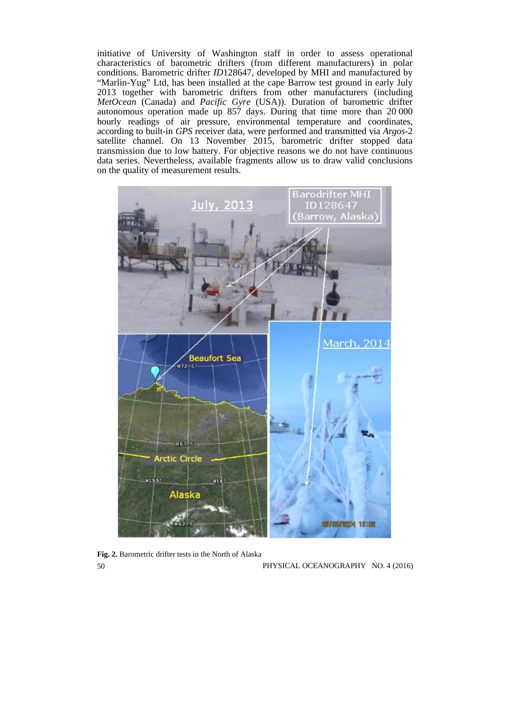initiative of University of Washington staff in order to assess operational characteristics of barometric drifters (from different manufacturers) in polar conditions. Barometric drifter *ID*128647, developed by MHI and manufactured by "Marlin-Yug" Ltd, has been installed at the cape Barrow test ground in early July 2013 together with barometric drifters from other manufacturers (including *MetOcean* (Canada) and *Pacific Gyre* (USA)). Duration of barometric drifter autonomous operation made up 857 days. During that time more than 20 000 hourly readings of air pressure, environmental temperature and coordinates, according to built-in *GPS* receiver data, were performed and transmitted via *Argos*-2 satellite channel. On 13 November 2015, barometric drifter stopped data transmission due to low battery. For objective reasons we do not have continuous data series. Nevertheless, available fragments allow us to draw valid conclusions on the quality of measurement results.



**Fig. 2.** Barometric drifter tests in the North of Alaska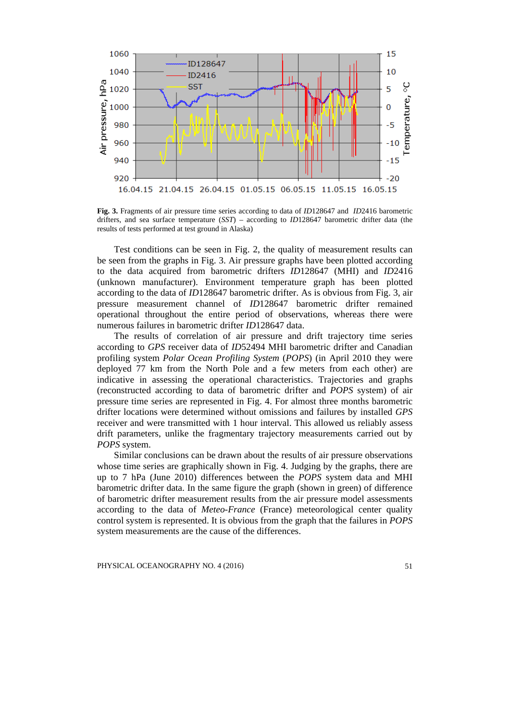

**Fig. 3.** Fragments of air pressure time series according to data of *ID*128647 and *ID*2416 barometric drifters, and sea surface temperature (*SST*) – according to *ID*128647 barometric drifter data (the results of tests performed at test ground in Alaska)

Test conditions can be seen in Fig. 2, the quality of measurement results can be seen from the graphs in Fig. 3. Air pressure graphs have been plotted according to the data acquired from barometric drifters *ID*128647 (MHI) and *ID*2416 (unknown manufacturer). Environment temperature graph has been plotted according to the data of *ID*128647 barometric drifter. As is obvious from Fig. 3, air pressure measurement channel of *ID*128647 barometric drifter remained operational throughout the entire period of observations, whereas there were numerous failures in barometric drifter *ID*128647 data.

The results of correlation of air pressure and drift trajectory time series according to *GPS* receiver data of *ID*52494 MHI barometric drifter and Canadian profiling system *Polar Ocean Profiling System* (*POPS*) (in April 2010 they were deployed 77 km from the North Pole and a few meters from each other) are indicative in assessing the operational characteristics. Trajectories and graphs (reconstructed according to data of barometric drifter and *POPS* system) of air pressure time series are represented in Fig. 4. For almost three months barometric drifter locations were determined without omissions and failures by installed *GPS*  receiver and were transmitted with 1 hour interval. This allowed us reliably assess drift parameters, unlike the fragmentary trajectory measurements carried out by *POPS* system.

Similar conclusions can be drawn about the results of air pressure observations whose time series are graphically shown in Fig. 4. Judging by the graphs, there are up to 7 hPa (June 2010) differences between the *POPS* system data and MHI barometric drifter data. In the same figure the graph (shown in green) of difference of barometric drifter measurement results from the air pressure model assessments according to the data of *Meteo*-*France* (France) meteorological center quality control system is represented. It is obvious from the graph that the failures in *POPS* system measurements are the cause of the differences.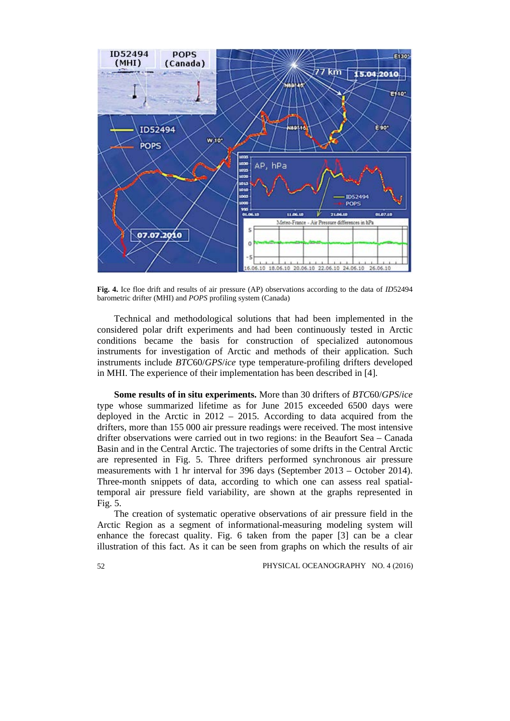

**Fig. 4.** Ice floe drift and results of air pressure (AP) observations according to the data of *ID*52494 barometric drifter (MHI) and *POPS* profiling system (Canada)

Technical and methodological solutions that had been implemented in the considered polar drift experiments and had been continuously tested in Arctic conditions became the basis for construction of specialized autonomous instruments for investigation of Arctic and methods of their application. Such instruments include *BTC*60/*GPS*/*ice* type temperature-profiling drifters developed in MHI. The experience of their implementation has been described in [4].

**Some results of in situ experiments.** More than 30 drifters of *BTC*60/*GPS*/*ice* type whose summarized lifetime as for June 2015 exceeded 6500 days were deployed in the Arctic in 2012 – 2015. According to data acquired from the drifters, more than 155 000 air pressure readings were received. The most intensive drifter observations were carried out in two regions: in the Beaufort Sea – Canada Basin and in the Central Arctic. The trajectories of some drifts in the Central Arctic are represented in Fig. 5. Three drifters performed synchronous air pressure measurements with 1 hr interval for 396 days (September 2013 – October 2014). Three-month snippets of data, according to which one can assess real spatialtemporal air pressure field variability, are shown at the graphs represented in Fig. 5.

The creation of systematic operative observations of air pressure field in the Arctic Region as a segment of informational-measuring modeling system will enhance the forecast quality. Fig. 6 taken from the paper [3] can be a clear illustration of this fact. As it can be seen from graphs on which the results of air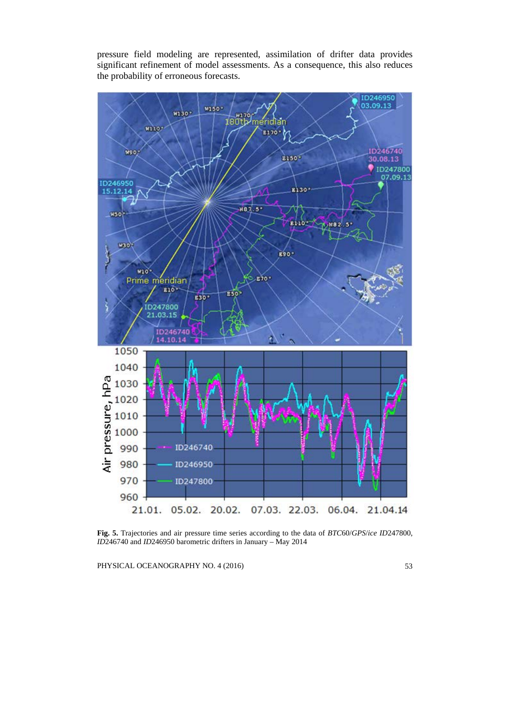pressure field modeling are represented, assimilation of drifter data provides significant refinement of model assessments. As a consequence, this also reduces the probability of erroneous forecasts.



**Fig. 5.** Trajectories and air pressure time series according to the data of *BTC*60/*GPS*/*ice ID*247800, *ID*246740 and *ID*246950 barometric drifters in January – May 2014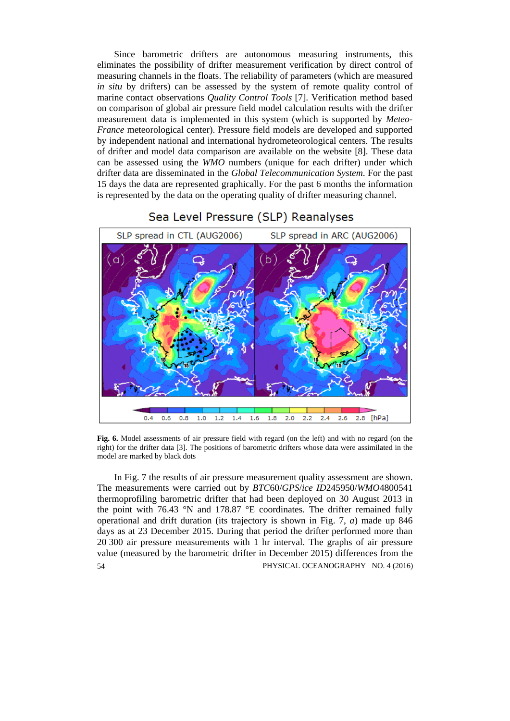Since barometric drifters are autonomous measuring instruments, this eliminates the possibility of drifter measurement verification by direct control of measuring channels in the floats. The reliability of parameters (which are measured *in situ* by drifters) can be assessed by the system of remote quality control of marine contact observations *Quality Control Tools* [7]. Verification method based on comparison of global air pressure field model calculation results with the drifter measurement data is implemented in this system (which is supported by *Meteo*-*France* meteorological center). Pressure field models are developed and supported by independent national and international hydrometeorological centers. The results of drifter and model data comparison are available on the website [8]. These data can be assessed using the *WMO* numbers (unique for each drifter) under which drifter data are disseminated in the *Global Telecommunication System*. For the past 15 days the data are represented graphically. For the past 6 months the information is represented by the data on the operating quality of drifter measuring channel.

# Sea Level Pressure (SLP) Reanalyses



**Fig. 6.** Model assessments of air pressure field with regard (on the left) and with no regard (on the right) for the drifter data [3]. The positions of barometric drifters whose data were assimilated in the model are marked by black dots

54 PHYSICAL OCEANOGRAPHY NO. 4 (2016) In Fig. 7 the results of air pressure measurement quality assessment are shown. The measurements were carried out by *BTC*60/*GPS*/*ice ID*245950/*WMO*4800541 thermoprofiling barometric drifter that had been deployed on 30 August 2013 in the point with 76.43 °N and 178.87 °E coordinates. The drifter remained fully operational and drift duration (its trajectory is shown in Fig. 7, *a*) made up 846 days as at 23 December 2015. During that period the drifter performed more than 20 300 air pressure measurements with 1 hr interval. The graphs of air pressure value (measured by the barometric drifter in December 2015) differences from the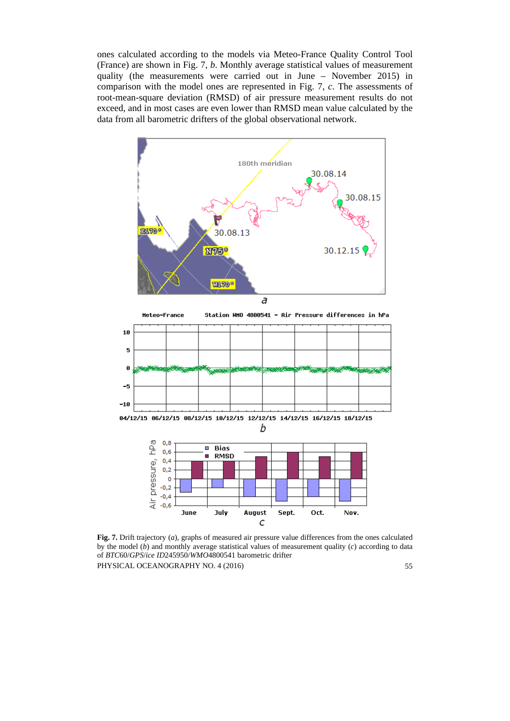ones calculated according to the models via Meteo-France Quality Control Tool (France) are shown in Fig. 7, *b*. Monthly average statistical values of measurement quality (the measurements were carried out in June – November 2015) in comparison with the model ones are represented in Fig. 7, *c*. The assessments of root-mean-square deviation (RMSD) of air pressure measurement results do not exceed, and in most cases are even lower than RMSD mean value calculated by the data from all barometric drifters of the global observational network.



**Fig. 7.** Drift trajectory (*a*), graphs of measured air pressure value differences from the ones calculated by the model (*b*) and monthly average statistical values of measurement quality (*c*) according to data of *BTC*60/*GPS*/*ice ID*245950/*WMO*4800541 barometric drifter